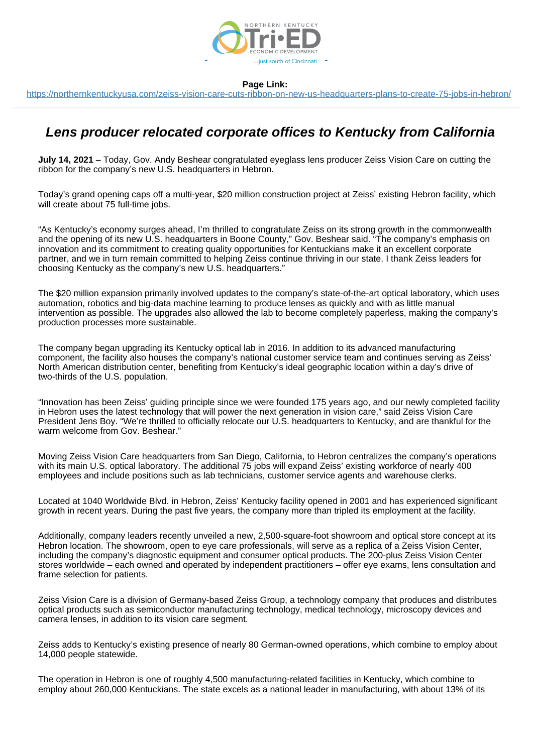

<https://northernkentuckyusa.com/zeiss-vision-care-cuts-ribbon-on-new-us-headquarters-plans-to-create-75-jobs-in-hebron/>

# **Lens producer relocated corporate offices to Kentucky from California**

**July 14, 2021** – Today, Gov. Andy Beshear congratulated eyeglass lens producer Zeiss Vision Care on cutting the ribbon for the company's new U.S. headquarters in Hebron.

Today's grand opening caps off a multi-year, \$20 million construction project at Zeiss' existing Hebron facility, which will create about 75 full-time jobs.

"As Kentucky's economy surges ahead, I'm thrilled to congratulate Zeiss on its strong growth in the commonwealth and the opening of its new U.S. headquarters in Boone County," Gov. Beshear said. "The company's emphasis on innovation and its commitment to creating quality opportunities for Kentuckians make it an excellent corporate partner, and we in turn remain committed to helping Zeiss continue thriving in our state. I thank Zeiss leaders for choosing Kentucky as the company's new U.S. headquarters."

The \$20 million expansion primarily involved updates to the company's state-of-the-art optical laboratory, which uses automation, robotics and big-data machine learning to produce lenses as quickly and with as little manual intervention as possible. The upgrades also allowed the lab to become completely paperless, making the company's production processes more sustainable.

The company began upgrading its Kentucky optical lab in 2016. In addition to its advanced manufacturing component, the facility also houses the company's national customer service team and continues serving as Zeiss' North American distribution center, benefiting from Kentucky's ideal geographic location within a day's drive of two-thirds of the U.S. population.

"Innovation has been Zeiss' guiding principle since we were founded 175 years ago, and our newly completed facility in Hebron uses the latest technology that will power the next generation in vision care," said Zeiss Vision Care President Jens Boy. "We're thrilled to officially relocate our U.S. headquarters to Kentucky, and are thankful for the warm welcome from Gov. Beshear."

Moving Zeiss Vision Care headquarters from San Diego, California, to Hebron centralizes the company's operations with its main U.S. optical laboratory. The additional 75 jobs will expand Zeiss' existing workforce of nearly 400 employees and include positions such as lab technicians, customer service agents and warehouse clerks.

Located at 1040 Worldwide Blvd. in Hebron, Zeiss' Kentucky facility opened in 2001 and has experienced significant growth in recent years. During the past five years, the company more than tripled its employment at the facility.

Additionally, company leaders recently unveiled a new, 2,500-square-foot showroom and optical store concept at its Hebron location. The showroom, open to eye care professionals, will serve as a replica of a Zeiss Vision Center, including the company's diagnostic equipment and consumer optical products. The 200-plus Zeiss Vision Center stores worldwide – each owned and operated by independent practitioners – offer eye exams, lens consultation and frame selection for patients.

Zeiss Vision Care is a division of Germany-based Zeiss Group, a technology company that produces and distributes optical products such as semiconductor manufacturing technology, medical technology, microscopy devices and camera lenses, in addition to its vision care segment.

Zeiss adds to Kentucky's existing presence of nearly 80 German-owned operations, which combine to employ about 14,000 people statewide.

The operation in Hebron is one of roughly 4,500 manufacturing-related facilities in Kentucky, which combine to employ about 260,000 Kentuckians. The state excels as a national leader in manufacturing, with about 13% of its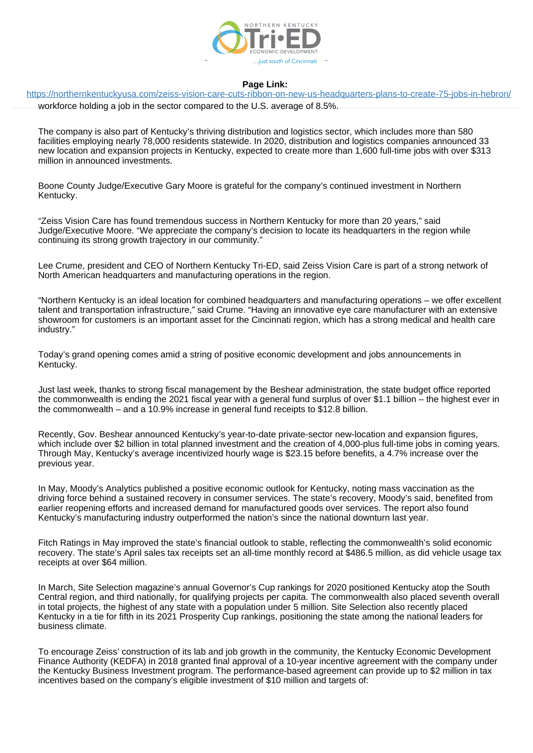

<https://northernkentuckyusa.com/zeiss-vision-care-cuts-ribbon-on-new-us-headquarters-plans-to-create-75-jobs-in-hebron/>

workforce holding a job in the sector compared to the U.S. average of 8.5%.

The company is also part of Kentucky's thriving distribution and logistics sector, which includes more than 580 facilities employing nearly 78,000 residents statewide. In 2020, distribution and logistics companies announced 33 new location and expansion projects in Kentucky, expected to create more than 1,600 full-time jobs with over \$313 million in announced investments.

Boone County Judge/Executive Gary Moore is grateful for the company's continued investment in Northern Kentucky.

"Zeiss Vision Care has found tremendous success in Northern Kentucky for more than 20 years," said Judge/Executive Moore. "We appreciate the company's decision to locate its headquarters in the region while continuing its strong growth trajectory in our community."

Lee Crume, president and CEO of Northern Kentucky Tri-ED, said Zeiss Vision Care is part of a strong network of North American headquarters and manufacturing operations in the region.

"Northern Kentucky is an ideal location for combined headquarters and manufacturing operations – we offer excellent talent and transportation infrastructure," said Crume. "Having an innovative eye care manufacturer with an extensive showroom for customers is an important asset for the Cincinnati region, which has a strong medical and health care industry."

Today's grand opening comes amid a string of positive economic development and jobs announcements in Kentucky.

Just last week, thanks to strong fiscal management by the Beshear administration, the state budget office reported the commonwealth is ending the 2021 fiscal year with a general fund surplus of over \$1.1 billion – the highest ever in the commonwealth – and a 10.9% increase in general fund receipts to \$12.8 billion.

Recently, Gov. Beshear announced Kentucky's year-to-date private-sector new-location and expansion figures, which include over \$2 billion in total planned investment and the creation of 4,000-plus full-time jobs in coming years. Through May, Kentucky's average incentivized hourly wage is \$23.15 before benefits, a 4.7% increase over the previous year.

In May, Moody's Analytics published a positive economic outlook for Kentucky, noting mass vaccination as the driving force behind a sustained recovery in consumer services. The state's recovery, Moody's said, benefited from earlier reopening efforts and increased demand for manufactured goods over services. The report also found Kentucky's manufacturing industry outperformed the nation's since the national downturn last year.

Fitch Ratings in May improved the state's financial outlook to stable, reflecting the commonwealth's solid economic recovery. The state's April sales tax receipts set an all-time monthly record at \$486.5 million, as did vehicle usage tax receipts at over \$64 million.

In March, Site Selection magazine's annual Governor's Cup rankings for 2020 positioned Kentucky atop the South Central region, and third nationally, for qualifying projects per capita. The commonwealth also placed seventh overall in total projects, the highest of any state with a population under 5 million. Site Selection also recently placed Kentucky in a tie for fifth in its 2021 Prosperity Cup rankings, positioning the state among the national leaders for business climate.

To encourage Zeiss' construction of its lab and job growth in the community, the Kentucky Economic Development Finance Authority (KEDFA) in 2018 granted final approval of a 10-year incentive agreement with the company under the Kentucky Business Investment program. The performance-based agreement can provide up to \$2 million in tax incentives based on the company's eligible investment of \$10 million and targets of: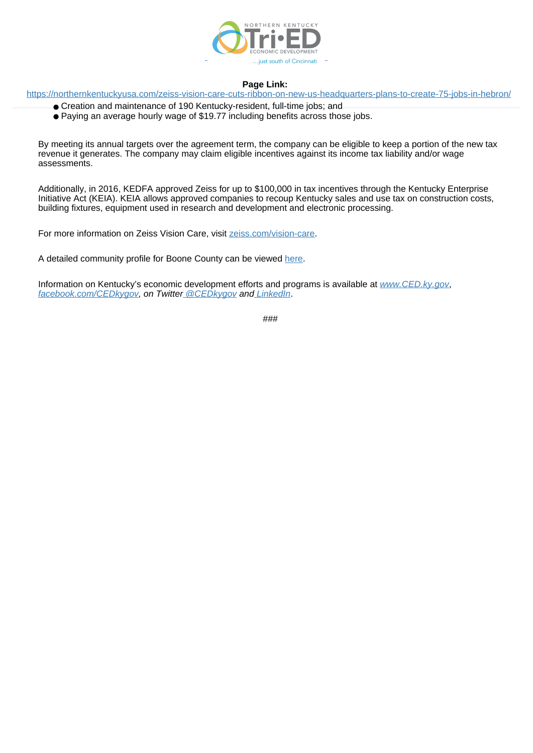

<https://northernkentuckyusa.com/zeiss-vision-care-cuts-ribbon-on-new-us-headquarters-plans-to-create-75-jobs-in-hebron/>

- Creation and maintenance of 190 Kentucky-resident, full-time jobs; and
- Paying an average hourly wage of \$19.77 including benefits across those jobs.

By meeting its annual targets over the agreement term, the company can be eligible to keep a portion of the new tax revenue it generates. The company may claim eligible incentives against its income tax liability and/or wage assessments.

Additionally, in 2016, KEDFA approved Zeiss for up to \$100,000 in tax incentives through the Kentucky Enterprise Initiative Act (KEIA). KEIA allows approved companies to recoup Kentucky sales and use tax on construction costs, building fixtures, equipment used in research and development and electronic processing.

For more information on Zeiss Vision Care, visit [zeiss.com/vision-care.](https://www.zeiss.com/vision-care/us/home.html)

A detailed community profile for Boone County can be viewed [here](https://properties.zoomprospector.com/kentucky/community/Boone-County-KY/21015).

Information on Kentucky's economic development efforts and programs is available at [www.CED.ky.gov](http://www.ced.ky.gov/), [facebook.com/CEDkygov,](https://www.facebook.com/CEDkygov/) on Twitte[r @CEDkygov](https://twitter.com/CEDkygov) an[d LinkedIn](https://www.linkedin.com/company/cedkygov/).

###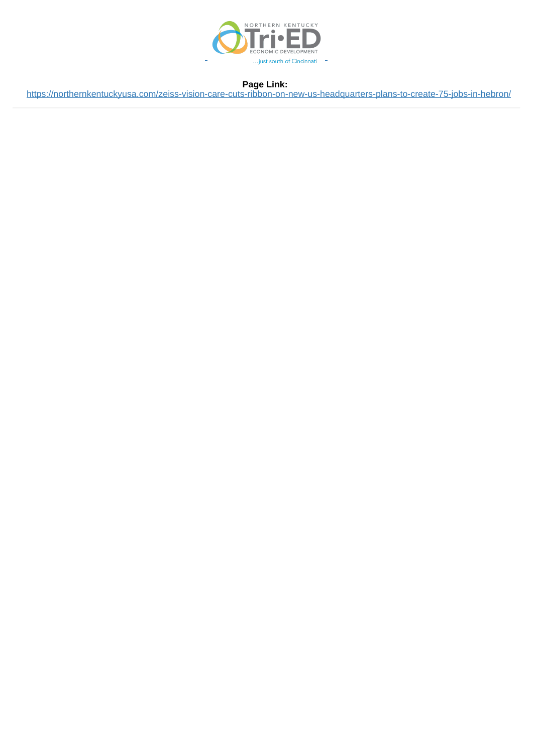

<https://northernkentuckyusa.com/zeiss-vision-care-cuts-ribbon-on-new-us-headquarters-plans-to-create-75-jobs-in-hebron/>